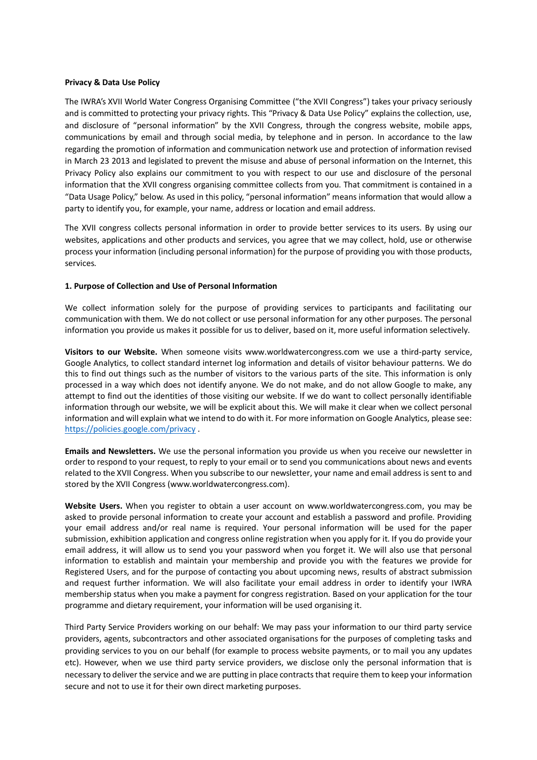#### **Privacy & Data Use Policy**

The IWRA's XVII World Water Congress Organising Committee ("the XVII Congress") takes your privacy seriously and is committed to protecting your privacy rights. This "Privacy & Data Use Policy" explains the collection, use, and disclosure of "personal information" by the XVII Congress, through the congress website, mobile apps, communications by email and through social media, by telephone and in person. In accordance to the law regarding the promotion of information and communication network use and protection of information revised in March 23 2013 and legislated to prevent the misuse and abuse of personal information on the Internet, this Privacy Policy also explains our commitment to you with respect to our use and disclosure of the personal information that the XVII congress organising committee collects from you. That commitment is contained in a "Data Usage Policy," below. As used in this policy, "personal information" means information that would allow a party to identify you, for example, your name, address or location and email address.

The XVII congress collects personal information in order to provide better services to its users. By using our websites, applications and other products and services, you agree that we may collect, hold, use or otherwise process your information (including personal information) for the purpose of providing you with those products, services.

#### **1. Purpose of Collection and Use of Personal Information**

We collect information solely for the purpose of providing services to participants and facilitating our communication with them. We do not collect or use personal information for any other purposes. The personal information you provide us makes it possible for us to deliver, based on it, more useful information selectively.

**Visitors to our Website.** When someone visits www.worldwatercongress.com we use a third-party service, Google Analytics, to collect standard internet log information and details of visitor behaviour patterns. We do this to find out things such as the number of visitors to the various parts of the site. This information is only processed in a way which does not identify anyone. We do not make, and do not allow Google to make, any attempt to find out the identities of those visiting our website. If we do want to collect personally identifiable information through our website, we will be explicit about this. We will make it clear when we collect personal information and will explain what we intend to do with it. For more information on Google Analytics, please see: <https://policies.google.com/privacy> .

**Emails and Newsletters.** We use the personal information you provide us when you receive our newsletter in order to respond to your request, to reply to your email or to send you communications about news and events related to the XVII Congress. When you subscribe to our newsletter, your name and email address is sent to and stored by the XVII Congress (www.worldwatercongress.com).

**Website Users.** When you register to obtain a user account on www.worldwatercongress.com, you may be asked to provide personal information to create your account and establish a password and profile. Providing your email address and/or real name is required. Your personal information will be used for the paper submission, exhibition application and congress online registration when you apply for it. If you do provide your email address, it will allow us to send you your password when you forget it. We will also use that personal information to establish and maintain your membership and provide you with the features we provide for Registered Users, and for the purpose of contacting you about upcoming news, results of abstract submission and request further information. We will also facilitate your email address in order to identify your IWRA membership status when you make a payment for congress registration. Based on your application for the tour programme and dietary requirement, your information will be used organising it.

Third Party Service Providers working on our behalf: We may pass your information to our third party service providers, agents, subcontractors and other associated organisations for the purposes of completing tasks and providing services to you on our behalf (for example to process website payments, or to mail you any updates etc). However, when we use third party service providers, we disclose only the personal information that is necessary to deliver the service and we are putting in place contracts that require them to keep your information secure and not to use it for their own direct marketing purposes.